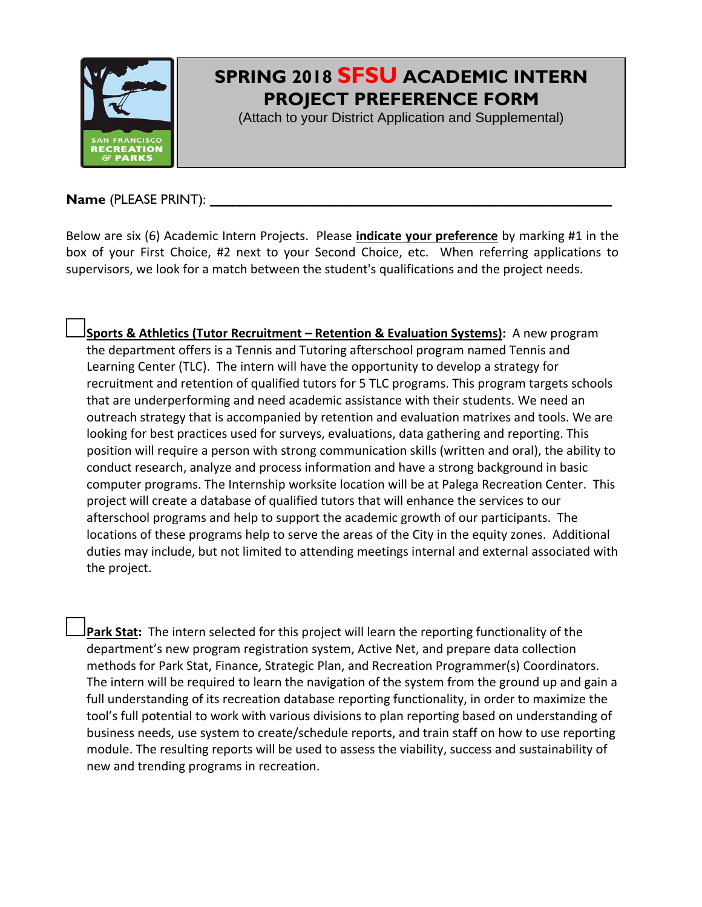

## **SPRING 2018 SFSU ACADEMIC INTERN PROJECT PREFERENCE FORM**

(Attach to your District Application and Supplemental)

## **Name** (PLEASE PRINT): \_\_\_\_\_\_\_\_\_\_\_\_\_\_\_\_\_\_\_\_\_\_\_\_\_\_\_\_\_\_\_\_\_\_\_\_\_\_\_\_\_\_\_\_\_\_\_\_\_\_\_\_\_

Below are six (6) Academic Intern Projects. Please **indicate your preference** by marking #1 in the box of your First Choice, #2 next to your Second Choice, etc. When referring applications to supervisors, we look for a match between the student's qualifications and the project needs.

□**Sports & Athletics (Tutor Recruitment – Retention & Evaluation Systems):** A new program the department offers is a Tennis and Tutoring afterschool program named Tennis and Learning Center (TLC). The intern will have the opportunity to develop a strategy for recruitment and retention of qualified tutors for 5 TLC programs. This program targets schools that are underperforming and need academic assistance with their students. We need an outreach strategy that is accompanied by retention and evaluation matrixes and tools. We are looking for best practices used for surveys, evaluations, data gathering and reporting. This position will require a person with strong communication skills (written and oral), the ability to conduct research, analyze and process information and have a strong background in basic computer programs. The Internship worksite location will be at Palega Recreation Center. This project will create a database of qualified tutors that will enhance the services to our afterschool programs and help to support the academic growth of our participants. The locations of these programs help to serve the areas of the City in the equity zones. Additional duties may include, but not limited to attending meetings internal and external associated with the project.

□**Park Stat:** The intern selected for this project will learn the reporting functionality of the department's new program registration system, Active Net, and prepare data collection methods for Park Stat, Finance, Strategic Plan, and Recreation Programmer(s) Coordinators. The intern will be required to learn the navigation of the system from the ground up and gain a full understanding of its recreation database reporting functionality, in order to maximize the tool's full potential to work with various divisions to plan reporting based on understanding of business needs, use system to create/schedule reports, and train staff on how to use reporting module. The resulting reports will be used to assess the viability, success and sustainability of new and trending programs in recreation.